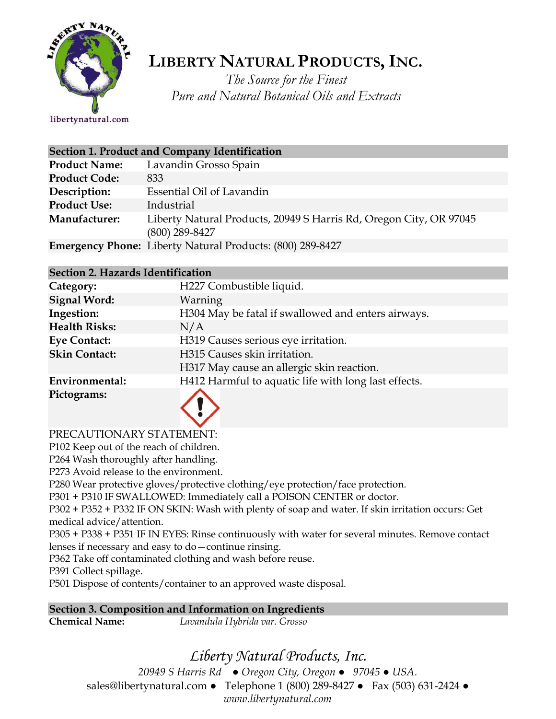

# **LIBERTY NATURAL PRODUCTS,INC.**

*The Source for the Finest Pure and Natural Botanical Oils and Extracts*

libertynatural.com

| Section 1. Product and Company Identification |                                                                                        |  |
|-----------------------------------------------|----------------------------------------------------------------------------------------|--|
| <b>Product Name:</b>                          | Lavandin Grosso Spain                                                                  |  |
| <b>Product Code:</b>                          | 833                                                                                    |  |
| Description:                                  | Essential Oil of Lavandin                                                              |  |
| <b>Product Use:</b>                           | Industrial                                                                             |  |
| Manufacturer:                                 | Liberty Natural Products, 20949 S Harris Rd, Oregon City, OR 97045<br>$(800)$ 289-8427 |  |
|                                               | <b>Emergency Phone:</b> Liberty Natural Products: (800) 289-8427                       |  |

### **Section 2. Hazards Identification**

| Category:            | H227 Combustible liquid.                             |
|----------------------|------------------------------------------------------|
| <b>Signal Word:</b>  | Warning                                              |
| Ingestion:           | H304 May be fatal if swallowed and enters airways.   |
| <b>Health Risks:</b> | N/A                                                  |
| <b>Eye Contact:</b>  | H319 Causes serious eye irritation.                  |
| <b>Skin Contact:</b> | H315 Causes skin irritation.                         |
|                      | H317 May cause an allergic skin reaction.            |
| Environmental:       | H412 Harmful to aquatic life with long last effects. |
| Pictograms:          |                                                      |

### PRECAUTIONARY STATEMENT:

P102 Keep out of the reach of children.

P264 Wash thoroughly after handling.

P273 Avoid release to the environment.

P280 Wear protective gloves/protective clothing/eye protection/face protection.

P301 + P310 IF SWALLOWED: Immediately call a POISON CENTER or doctor.

P302 + P352 + P332 IF ON SKIN: Wash with plenty of soap and water. If skin irritation occurs: Get medical advice/attention.

P305 + P338 + P351 IF IN EYES: Rinse continuously with water for several minutes. Remove contact lenses if necessary and easy to do—continue rinsing.

P362 Take off contaminated clothing and wash before reuse.

P391 Collect spillage.

P501 Dispose of contents/container to an approved waste disposal.

**Section 3. Composition and Information on Ingredients**

**Chemical Name:** *Lavandula Hybrida var. Grosso*

# *Liberty Natural Products, Inc.*

*20949 S Harris Rd ● Oregon City, Oregon ● 97045 ● USA.*  sales@libertynatural.com *●* Telephone 1 (800) 289-8427 ● Fax (503) 631-2424 *● www.libertynatural.com*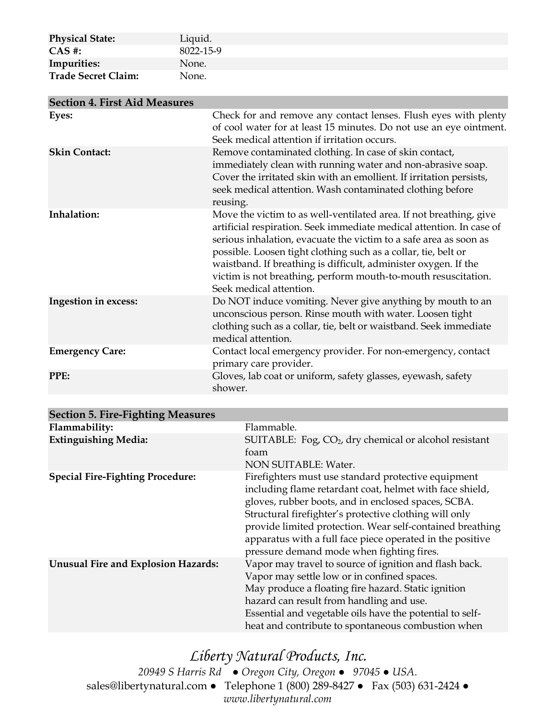| <b>Physical State:</b>     | Liquid.   |
|----------------------------|-----------|
| $CAS$ #:                   | 8022-15-9 |
| Impurities:                | None.     |
| <b>Trade Secret Claim:</b> | None.     |
|                            |           |

| <b>Section 4. First Aid Measures</b> |                                                                                                                                                                                                                                                                                                                                                                                                                                                   |
|--------------------------------------|---------------------------------------------------------------------------------------------------------------------------------------------------------------------------------------------------------------------------------------------------------------------------------------------------------------------------------------------------------------------------------------------------------------------------------------------------|
| Eyes:                                | Check for and remove any contact lenses. Flush eyes with plenty<br>of cool water for at least 15 minutes. Do not use an eye ointment.<br>Seek medical attention if irritation occurs.                                                                                                                                                                                                                                                             |
| <b>Skin Contact:</b>                 | Remove contaminated clothing. In case of skin contact,<br>immediately clean with running water and non-abrasive soap.<br>Cover the irritated skin with an emollient. If irritation persists,<br>seek medical attention. Wash contaminated clothing before<br>reusing.                                                                                                                                                                             |
| Inhalation:                          | Move the victim to as well-ventilated area. If not breathing, give<br>artificial respiration. Seek immediate medical attention. In case of<br>serious inhalation, evacuate the victim to a safe area as soon as<br>possible. Loosen tight clothing such as a collar, tie, belt or<br>waistband. If breathing is difficult, administer oxygen. If the<br>victim is not breathing, perform mouth-to-mouth resuscitation.<br>Seek medical attention. |
| <b>Ingestion in excess:</b>          | Do NOT induce vomiting. Never give anything by mouth to an<br>unconscious person. Rinse mouth with water. Loosen tight<br>clothing such as a collar, tie, belt or waistband. Seek immediate<br>medical attention.                                                                                                                                                                                                                                 |
| <b>Emergency Care:</b>               | Contact local emergency provider. For non-emergency, contact<br>primary care provider.                                                                                                                                                                                                                                                                                                                                                            |
| PPE:                                 | Gloves, lab coat or uniform, safety glasses, eyewash, safety<br>shower.                                                                                                                                                                                                                                                                                                                                                                           |

| Section 5. Fire-Fighting Measures          |                                                                                                                                                                                                                                                                                                                                                                                                         |
|--------------------------------------------|---------------------------------------------------------------------------------------------------------------------------------------------------------------------------------------------------------------------------------------------------------------------------------------------------------------------------------------------------------------------------------------------------------|
| Flammability:                              | Flammable.                                                                                                                                                                                                                                                                                                                                                                                              |
| <b>Extinguishing Media:</b>                | SUITABLE: Fog, CO <sub>2</sub> , dry chemical or alcohol resistant<br>foam<br>NON SUITABLE: Water.                                                                                                                                                                                                                                                                                                      |
| <b>Special Fire-Fighting Procedure:</b>    | Firefighters must use standard protective equipment<br>including flame retardant coat, helmet with face shield,<br>gloves, rubber boots, and in enclosed spaces, SCBA.<br>Structural firefighter's protective clothing will only<br>provide limited protection. Wear self-contained breathing<br>apparatus with a full face piece operated in the positive<br>pressure demand mode when fighting fires. |
| <b>Unusual Fire and Explosion Hazards:</b> | Vapor may travel to source of ignition and flash back.<br>Vapor may settle low or in confined spaces.<br>May produce a floating fire hazard. Static ignition<br>hazard can result from handling and use.<br>Essential and vegetable oils have the potential to self-<br>heat and contribute to spontaneous combustion when                                                                              |

 $\mathbf{S}$   $\mathbf{S}$   $\mathbf{S}$   $\mathbf{S}$   $\mathbf{S}$   $\mathbf{S}$   $\mathbf{S}$   $\mathbf{S}$   $\mathbf{S}$   $\mathbf{S}$   $\mathbf{S}$   $\mathbf{S}$   $\mathbf{S}$   $\mathbf{S}$   $\mathbf{S}$   $\mathbf{S}$   $\mathbf{S}$   $\mathbf{S}$   $\mathbf{S}$   $\mathbf{S}$   $\mathbf{S}$   $\mathbf{S}$   $\mathbf{S}$   $\mathbf{S}$   $\mathbf{$ 

*Liberty Natural Products, Inc. 20949 S Harris Rd ● Oregon City, Oregon ● 97045 ● USA.*  sales@libertynatural.com *●* Telephone 1 (800) 289-8427 ● Fax (503) 631-2424 *● www.libertynatural.com*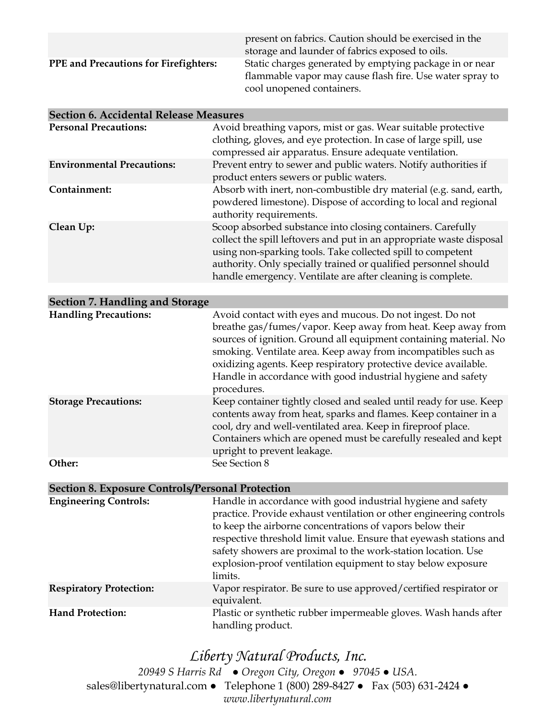|                                              | present on fabrics. Caution should be exercised in the<br>storage and launder of fabrics exposed to oils.                                        |
|----------------------------------------------|--------------------------------------------------------------------------------------------------------------------------------------------------|
| <b>PPE</b> and Precautions for Firefighters: | Static charges generated by emptying package in or near<br>flammable vapor may cause flash fire. Use water spray to<br>cool unopened containers. |

| <b>Section 6. Accidental Release Measures</b> |                                                                                                                                                                                                                                                                                                                                      |  |
|-----------------------------------------------|--------------------------------------------------------------------------------------------------------------------------------------------------------------------------------------------------------------------------------------------------------------------------------------------------------------------------------------|--|
| <b>Personal Precautions:</b>                  | Avoid breathing vapors, mist or gas. Wear suitable protective<br>clothing, gloves, and eye protection. In case of large spill, use<br>compressed air apparatus. Ensure adequate ventilation.                                                                                                                                         |  |
| <b>Environmental Precautions:</b>             | Prevent entry to sewer and public waters. Notify authorities if<br>product enters sewers or public waters.                                                                                                                                                                                                                           |  |
| Containment:                                  | Absorb with inert, non-combustible dry material (e.g. sand, earth,<br>powdered limestone). Dispose of according to local and regional<br>authority requirements.                                                                                                                                                                     |  |
| Clean Up:                                     | Scoop absorbed substance into closing containers. Carefully<br>collect the spill leftovers and put in an appropriate waste disposal<br>using non-sparking tools. Take collected spill to competent<br>authority. Only specially trained or qualified personnel should<br>handle emergency. Ventilate are after cleaning is complete. |  |

| Section 7. Handling and Storage |                                                                                                                                                                                                                                                                                                                                                                                                                   |  |
|---------------------------------|-------------------------------------------------------------------------------------------------------------------------------------------------------------------------------------------------------------------------------------------------------------------------------------------------------------------------------------------------------------------------------------------------------------------|--|
| <b>Handling Precautions:</b>    | Avoid contact with eyes and mucous. Do not ingest. Do not<br>breathe gas/fumes/vapor. Keep away from heat. Keep away from<br>sources of ignition. Ground all equipment containing material. No<br>smoking. Ventilate area. Keep away from incompatibles such as<br>oxidizing agents. Keep respiratory protective device available.<br>Handle in accordance with good industrial hygiene and safety<br>procedures. |  |
| <b>Storage Precautions:</b>     | Keep container tightly closed and sealed until ready for use. Keep<br>contents away from heat, sparks and flames. Keep container in a<br>cool, dry and well-ventilated area. Keep in fireproof place.<br>Containers which are opened must be carefully resealed and kept<br>upright to prevent leakage.                                                                                                           |  |
| Other:                          | See Section 8                                                                                                                                                                                                                                                                                                                                                                                                     |  |

#### **Section 8. Exposure Controls/Personal Protection**

| <b>Engineering Controls:</b>   | Handle in accordance with good industrial hygiene and safety<br>practice. Provide exhaust ventilation or other engineering controls<br>to keep the airborne concentrations of vapors below their<br>respective threshold limit value. Ensure that eyewash stations and<br>safety showers are proximal to the work-station location. Use<br>explosion-proof ventilation equipment to stay below exposure<br>limits. |
|--------------------------------|--------------------------------------------------------------------------------------------------------------------------------------------------------------------------------------------------------------------------------------------------------------------------------------------------------------------------------------------------------------------------------------------------------------------|
| <b>Respiratory Protection:</b> | Vapor respirator. Be sure to use approved/certified respirator or<br>equivalent.                                                                                                                                                                                                                                                                                                                                   |
| <b>Hand Protection:</b>        | Plastic or synthetic rubber impermeable gloves. Wash hands after<br>handling product.                                                                                                                                                                                                                                                                                                                              |

# *Liberty Natural Products, Inc.*

*20949 S Harris Rd ● Oregon City, Oregon ● 97045 ● USA.*  sales@libertynatural.com *●* Telephone 1 (800) 289-8427 ● Fax (503) 631-2424 *● www.libertynatural.com*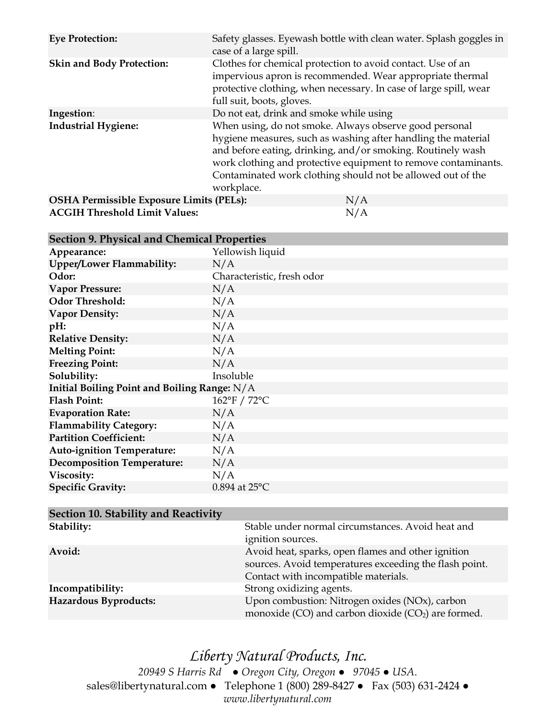| <b>Eye Protection:</b>                   | Safety glasses. Eyewash bottle with clean water. Splash goggles in<br>case of a large spill.                                                                                                                                                                                                                                          |
|------------------------------------------|---------------------------------------------------------------------------------------------------------------------------------------------------------------------------------------------------------------------------------------------------------------------------------------------------------------------------------------|
| <b>Skin and Body Protection:</b>         | Clothes for chemical protection to avoid contact. Use of an<br>impervious apron is recommended. Wear appropriate thermal<br>protective clothing, when necessary. In case of large spill, wear<br>full suit, boots, gloves.                                                                                                            |
| Ingestion:                               | Do not eat, drink and smoke while using                                                                                                                                                                                                                                                                                               |
| <b>Industrial Hygiene:</b>               | When using, do not smoke. Always observe good personal<br>hygiene measures, such as washing after handling the material<br>and before eating, drinking, and/or smoking. Routinely wash<br>work clothing and protective equipment to remove contaminants.<br>Contaminated work clothing should not be allowed out of the<br>workplace. |
| OSHA Permissible Exposure Limits (PELs): | N/A                                                                                                                                                                                                                                                                                                                                   |
| <b>ACGIH Threshold Limit Values:</b>     | N/A                                                                                                                                                                                                                                                                                                                                   |

#### **Section 9. Physical and Chemical Properties**

| occuon ), i hysical and Chemical Hopernes      |                            |  |
|------------------------------------------------|----------------------------|--|
| Appearance:                                    | Yellowish liquid           |  |
| <b>Upper/Lower Flammability:</b>               | N/A                        |  |
| Odor:                                          | Characteristic, fresh odor |  |
| <b>Vapor Pressure:</b>                         | N/A                        |  |
| <b>Odor Threshold:</b>                         | N/A                        |  |
| <b>Vapor Density:</b>                          | N/A                        |  |
| pH:                                            | N/A                        |  |
| <b>Relative Density:</b>                       | N/A                        |  |
| <b>Melting Point:</b>                          | N/A                        |  |
| <b>Freezing Point:</b>                         | N/A                        |  |
| Solubility:                                    | Insoluble                  |  |
| Initial Boiling Point and Boiling Range: $N/A$ |                            |  |
| <b>Flash Point:</b>                            | 162°F / 72°C               |  |
| <b>Evaporation Rate:</b>                       | N/A                        |  |
| <b>Flammability Category:</b>                  | N/A                        |  |
| <b>Partition Coefficient:</b>                  | N/A                        |  |
| <b>Auto-ignition Temperature:</b>              | N/A                        |  |
| <b>Decomposition Temperature:</b>              | N/A                        |  |
| Viscosity:                                     | N/A                        |  |
| <b>Specific Gravity:</b>                       | $0.894$ at $25^{\circ}$ C  |  |

| Section 10. Stability and Reactivity |                                                                                                                                                      |
|--------------------------------------|------------------------------------------------------------------------------------------------------------------------------------------------------|
| Stability:                           | Stable under normal circumstances. Avoid heat and<br>ignition sources.                                                                               |
| Avoid:                               | Avoid heat, sparks, open flames and other ignition<br>sources. Avoid temperatures exceeding the flash point.<br>Contact with incompatible materials. |
| Incompatibility:                     | Strong oxidizing agents.                                                                                                                             |
| Hazardous Byproducts:                | Upon combustion: Nitrogen oxides (NOx), carbon<br>monoxide (CO) and carbon dioxide ( $CO2$ ) are formed.                                             |

# *Liberty Natural Products, Inc.*

*20949 S Harris Rd ● Oregon City, Oregon ● 97045 ● USA.*  sales@libertynatural.com *●* Telephone 1 (800) 289-8427 ● Fax (503) 631-2424 *● www.libertynatural.com*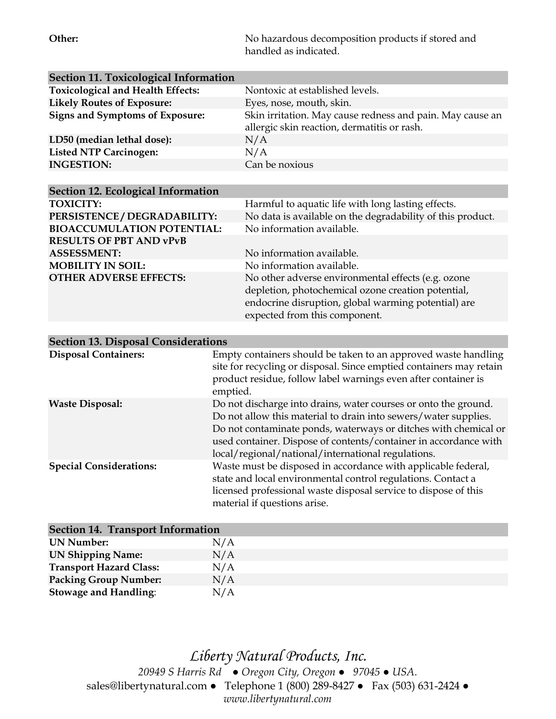**Other:** No hazardous decomposition products if stored and handled as indicated.

| <b>Section 11. Toxicological Information</b> |                                                                                                                        |  |  |
|----------------------------------------------|------------------------------------------------------------------------------------------------------------------------|--|--|
| <b>Toxicological and Health Effects:</b>     | Nontoxic at established levels.                                                                                        |  |  |
| <b>Likely Routes of Exposure:</b>            | Eyes, nose, mouth, skin.                                                                                               |  |  |
| <b>Signs and Symptoms of Exposure:</b>       | Skin irritation. May cause redness and pain. May cause an                                                              |  |  |
|                                              | allergic skin reaction, dermatitis or rash.                                                                            |  |  |
| LD50 (median lethal dose):                   | N/A                                                                                                                    |  |  |
| <b>Listed NTP Carcinogen:</b>                | N/A                                                                                                                    |  |  |
| <b>INGESTION:</b>                            | Can be noxious                                                                                                         |  |  |
|                                              |                                                                                                                        |  |  |
| <b>Section 12. Ecological Information</b>    |                                                                                                                        |  |  |
| <b>TOXICITY:</b>                             | Harmful to aquatic life with long lasting effects.                                                                     |  |  |
| PERSISTENCE / DEGRADABILITY:                 | No data is available on the degradability of this product.                                                             |  |  |
| <b>BIOACCUMULATION POTENTIAL:</b>            | No information available.                                                                                              |  |  |
| <b>RESULTS OF PBT AND vPvB</b>               |                                                                                                                        |  |  |
| <b>ASSESSMENT:</b>                           | No information available.                                                                                              |  |  |
| <b>MOBILITY IN SOIL:</b>                     | No information available.                                                                                              |  |  |
| <b>OTHER ADVERSE EFFECTS:</b>                | No other adverse environmental effects (e.g. ozone                                                                     |  |  |
|                                              | depletion, photochemical ozone creation potential,                                                                     |  |  |
|                                              | endocrine disruption, global warming potential) are                                                                    |  |  |
|                                              | expected from this component.                                                                                          |  |  |
|                                              |                                                                                                                        |  |  |
| <b>Section 13. Disposal Considerations</b>   |                                                                                                                        |  |  |
| <b>Disposal Containers:</b>                  | Empty containers should be taken to an approved waste handling                                                         |  |  |
|                                              | site for recycling or disposal. Since emptied containers may retain                                                    |  |  |
|                                              | product residue, follow label warnings even after container is                                                         |  |  |
|                                              | emptied.                                                                                                               |  |  |
| <b>Waste Disposal:</b>                       | Do not discharge into drains, water courses or onto the ground.                                                        |  |  |
|                                              | Do not allow this material to drain into sewers/water supplies.                                                        |  |  |
|                                              | Do not contaminate ponds, waterways or ditches with chemical or                                                        |  |  |
|                                              | used container. Dispose of contents/container in accordance with<br>local/regional/national/international regulations. |  |  |
| <b>Special Considerations:</b>               | Waste must be disposed in accordance with applicable federal,                                                          |  |  |
|                                              | state and local environmental control regulations. Contact a                                                           |  |  |
|                                              | licensed professional waste disposal service to dispose of this                                                        |  |  |
|                                              | material if questions arise.                                                                                           |  |  |
|                                              |                                                                                                                        |  |  |
| <b>Section 14. Transport Information</b>     |                                                                                                                        |  |  |
|                                              |                                                                                                                        |  |  |

| Section 14. Transport information |     |  |
|-----------------------------------|-----|--|
| UN Number:                        | N/A |  |
| <b>UN Shipping Name:</b>          | N/A |  |
| <b>Transport Hazard Class:</b>    | N/A |  |
| <b>Packing Group Number:</b>      | N/A |  |
| <b>Stowage and Handling:</b>      | N/A |  |

*Liberty Natural Products, Inc. 20949 S Harris Rd ● Oregon City, Oregon ● 97045 ● USA.*  sales@libertynatural.com *●* Telephone 1 (800) 289-8427 ● Fax (503) 631-2424 *● www.libertynatural.com*